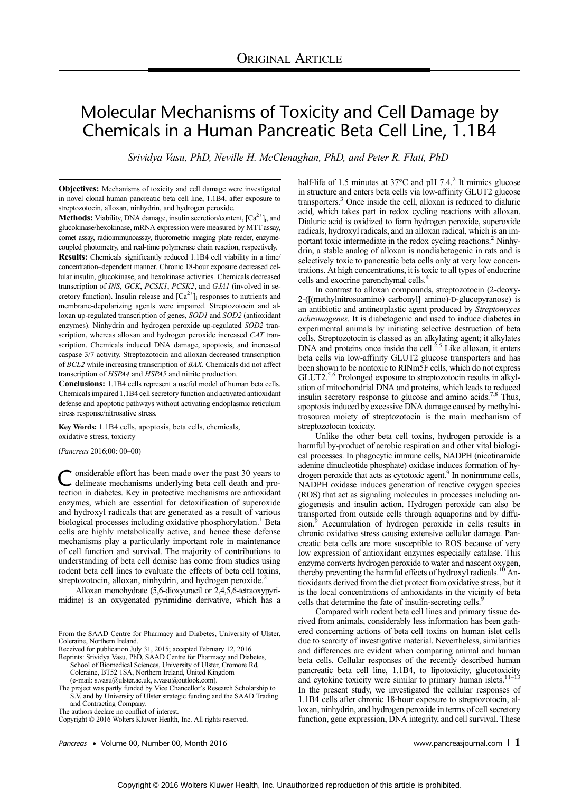# Molecular Mechanisms of Toxicity and Cell Damage by Chemicals in a Human Pancreatic Beta Cell Line, 1.1B4

Srividya Vasu, PhD, Neville H. McClenaghan, PhD, and Peter R. Flatt, PhD

Objectives: Mechanisms of toxicity and cell damage were investigated in novel clonal human pancreatic beta cell line, 1.1B4, after exposure to streptozotocin, alloxan, ninhydrin, and hydrogen peroxide.

**Methods:** Viability, DNA damage, insulin secretion/content,  $[Ca^{2+}]\text{j}$ , and glucokinase/hexokinase, mRNA expression were measured by MTT assay, comet assay, radioimmunoassay, fluorometric imaging plate reader, enzymecoupled photometry, and real-time polymerase chain reaction, respectively. Results: Chemicals significantly reduced 1.1B4 cell viability in a time/ concentration–dependent manner. Chronic 18-hour exposure decreased cellular insulin, glucokinase, and hexokinase activities. Chemicals decreased transcription of INS, GCK, PCSK1, PCSK2, and GJA1 (involved in secretory function). Insulin release and  $[Ca<sup>2+</sup>]$ <sub>i</sub> responses to nutrients and membrane-depolarizing agents were impaired. Streptozotocin and alloxan up-regulated transcription of genes, SOD1 and SOD2 (antioxidant enzymes). Ninhydrin and hydrogen peroxide up-regulated SOD2 transcription, whereas alloxan and hydrogen peroxide increased CAT transcription. Chemicals induced DNA damage, apoptosis, and increased caspase 3/7 activity. Streptozotocin and alloxan decreased transcription of BCL2 while increasing transcription of BAX. Chemicals did not affect transcription of HSPA4 and HSPA5 and nitrite production.

Conclusions: 1.1B4 cells represent a useful model of human beta cells. Chemicals impaired 1.1B4 cell secretory function and activated antioxidant defense and apoptotic pathways without activating endoplasmic reticulum stress response/nitrosative stress.

Key Words: 1.1B4 cells, apoptosis, beta cells, chemicals, oxidative stress, toxicity

(Pancreas 2016;00: 00–00)

Considerable effort has been made over the past 30 years to delineate mechanisms underlying beta cell death and protection in diabetes. Key in protective mechanisms are antioxidant enzymes, which are essential for detoxification of superoxide and hydroxyl radicals that are generated as a result of various biological processes including oxidative phosphorylation.<sup>1</sup> Beta cells are highly metabolically active, and hence these defense mechanisms play a particularly important role in maintenance of cell function and survival. The majority of contributions to understanding of beta cell demise has come from studies using rodent beta cell lines to evaluate the effects of beta cell toxins, streptozotocin, alloxan, ninhydrin, and hydrogen peroxide.<sup>2</sup>

Alloxan monohydrate (5,6-dioxyuracil or 2,4,5,6-tetraoxypyrimidine) is an oxygenated pyrimidine derivative, which has a

Reprints: Srividya Vasu, PhD, SAAD Centre for Pharmacy and Diabetes, School of Biomedical Sciences, University of Ulster, Cromore Rd, Coleraine, BT52 1SA, Northern Ireland, United Kingdom (e‐mail: [s.vasu@ulster.ac.uk,](mailto:s.vasu@ulster.ac.uk) [s.vasu@outlook.com](mailto:s.vasu@outlook.com)).

The project was partly funded by Vice Chancellor's Research Scholarship to S.V. and by University of Ulster strategic funding and the SAAD Trading and Contracting Company.

The authors declare no conflict of interest.

Copyright © 2016 Wolters Kluwer Health, Inc. All rights reserved.

Pancreas • Volume 00, Number 00, Month 2016 [www.pancreasjournal.com](http://www.pancreasjournal.com) | 1

half-life of 1.5 minutes at  $37^{\circ}$ C and pH 7.4.<sup>2</sup> It mimics glucose in structure and enters beta cells via low-affinity GLUT2 glucose transporters.3 Once inside the cell, alloxan is reduced to dialuric acid, which takes part in redox cycling reactions with alloxan. Dialuric acid is oxidized to form hydrogen peroxide, superoxide radicals, hydroxyl radicals, and an alloxan radical, which is an important toxic intermediate in the redox cycling reactions.<sup>2</sup> Ninhydrin, a stable analog of alloxan is nondiabetogenic in rats and is selectively toxic to pancreatic beta cells only at very low concentrations. At high concentrations, it is toxic to all types of endocrine cells and exocrine parenchymal cells.<sup>4</sup>

In contrast to alloxan compounds, streptozotocin (2-deoxy-2-([(methylnitrosoamino) carbonyl] amino)-D-glucopyranose) is an antibiotic and antineoplastic agent produced by Streptomyces achromogenes. It is diabetogenic and used to induce diabetes in experimental animals by initiating selective destruction of beta cells. Streptozotocin is classed as an alkylating agent; it alkylates DNA and proteins once inside the cell.<sup>2,5</sup> Like alloxan, it enters beta cells via low-affinity GLUT2 glucose transporters and has been shown to be nontoxic to RINm5F cells, which do not express GLUT2.<sup>5,6</sup> Prolonged exposure to streptozotocin results in alkylation of mitochondrial DNA and proteins, which leads to reduced insulin secretory response to glucose and amino acids.<sup>7,8</sup> Thus, apoptosis induced by excessive DNA damage caused by methylnitrosourea moiety of streptozotocin is the main mechanism of streptozotocin toxicity.

Unlike the other beta cell toxins, hydrogen peroxide is a harmful by-product of aerobic respiration and other vital biological processes. In phagocytic immune cells, NADPH (nicotinamide adenine dinucleotide phosphate) oxidase induces formation of hydrogen peroxide that acts as cytotoxic agent.<sup>9</sup> In nonimmune cells, NADPH oxidase induces generation of reactive oxygen species (ROS) that act as signaling molecules in processes including angiogenesis and insulin action. Hydrogen peroxide can also be transported from outside cells through aquaporins and by diffusion.<sup>9</sup> Accumulation of hydrogen peroxide in cells results in chronic oxidative stress causing extensive cellular damage. Pancreatic beta cells are more susceptible to ROS because of very low expression of antioxidant enzymes especially catalase. This enzyme converts hydrogen peroxide to water and nascent oxygen, thereby preventing the harmful effects of hydroxyl radicals.<sup>10</sup> Antioxidants derived from the diet protect from oxidative stress, but it is the local concentrations of antioxidants in the vicinity of beta cells that determine the fate of insulin-secreting cells.<sup>9</sup>

Compared with rodent beta cell lines and primary tissue derived from animals, considerably less information has been gathered concerning actions of beta cell toxins on human islet cells due to scarcity of investigative material. Nevertheless, similarities and differences are evident when comparing animal and human beta cells. Cellular responses of the recently described human pancreatic beta cell line, 1.1B4, to lipotoxicity, glucotoxicity and cytokine toxicity were similar to primary human islets.<sup>11–13</sup> In the present study, we investigated the cellular responses of 1.1B4 cells after chronic 18-hour exposure to streptozotocin, alloxan, ninhydrin, and hydrogen peroxide in terms of cell secretory function, gene expression, DNA integrity, and cell survival. These

From the SAAD Centre for Pharmacy and Diabetes, University of Ulster, Coleraine, Northern Ireland.

Received for publication July 31, 2015; accepted February 12, 2016.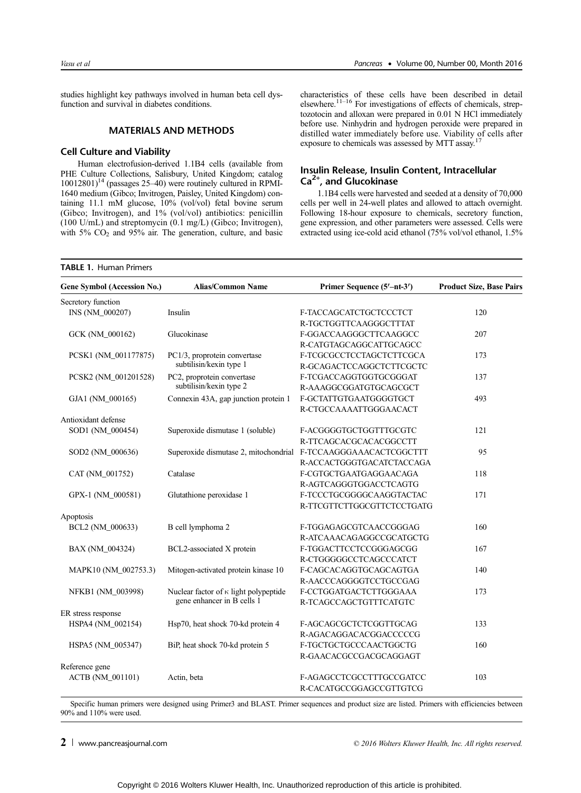studies highlight key pathways involved in human beta cell dysfunction and survival in diabetes conditions.

# MATERIALS AND METHODS

## Cell Culture and Viability

Human electrofusion-derived 1.1B4 cells (available from PHE Culture Collections, Salisbury, United Kingdom; catalog  $10012801$ <sup>14</sup> (passages 25–40) were routinely cultured in RPMI-1640 medium (Gibco; Invitrogen, Paisley, United Kingdom) containing 11.1 mM glucose, 10% (vol/vol) fetal bovine serum (Gibco; Invitrogen), and 1% (vol/vol) antibiotics: penicillin (100 U/mL) and streptomycin (0.1 mg/L) (Gibco; Invitrogen), with  $5\%$  CO<sub>2</sub> and  $95\%$  air. The generation, culture, and basic

characteristics of these cells have been described in detail elsewhere.<sup>11-16</sup> For investigations of effects of chemicals, streptozotocin and alloxan were prepared in 0.01 N HCl immediately before use. Ninhydrin and hydrogen peroxide were prepared in distilled water immediately before use. Viability of cells after exposure to chemicals was assessed by MTT assay.<sup>1</sup>

# Insulin Release, Insulin Content, Intracellular  $Ca<sup>2+</sup>$ , and Glucokinase

1.1B4 cells were harvested and seeded at a density of 70,000 cells per well in 24-well plates and allowed to attach overnight. Following 18-hour exposure to chemicals, secretory function, gene expression, and other parameters were assessed. Cells were extracted using ice-cold acid ethanol (75% vol/vol ethanol, 1.5%

| Gene Symbol (Accession No.) | <b>Alias/Common Name</b>                     | Primer Sequence (5'-nt-3') | <b>Product Size, Base Pairs</b> |  |
|-----------------------------|----------------------------------------------|----------------------------|---------------------------------|--|
| Secretory function          |                                              |                            |                                 |  |
| INS (NM_000207)             | Insulin                                      | F-TACCAGCATCTGCTCCCTCT     | 120                             |  |
|                             |                                              | R-TGCTGGTTCAAGGGCTTTAT     |                                 |  |
| GCK (NM_000162)             | Glucokinase                                  | F-GGACCAAGGGCTTCAAGGCC     | 207                             |  |
|                             |                                              | R-CATGTAGCAGGCATTGCAGCC    |                                 |  |
| PCSK1 (NM_001177875)        | PC1/3, proprotein convertase                 | F-TCGCGCCTCCTAGCTCTTCGCA   | 173                             |  |
|                             | subtilisin/kexin type 1                      | R-GCAGACTCCAGGCTCTTCGCTC   |                                 |  |
| PCSK2 (NM 001201528)        | PC2, proprotein convertase                   | F-TCGACCAGGTGGTGCGGGAT     | 137                             |  |
|                             | subtilisin/kexin type 2                      | R-AAAGGCGGATGTGCAGCGCT     |                                 |  |
| GJA1 (NM_000165)            | Connexin 43A, gap junction protein 1         | F-GCTATTGTGAATGGGGTGCT     | 493                             |  |
|                             |                                              | R-CTGCCAAAATTGGGAACACT     |                                 |  |
| Antioxidant defense         |                                              |                            |                                 |  |
| SOD1 (NM 000454)            | Superoxide dismutase 1 (soluble)             | F-ACGGGGTGCTGGTTTGCGTC     | 121                             |  |
|                             |                                              | R-TTCAGCACGCACACGGCCTT     |                                 |  |
| SOD2 (NM_000636)            | Superoxide dismutase 2, mitochondrial        | F-TCCAAGGGAAACACTCGGCTTT   | 95                              |  |
|                             |                                              | R-ACCACTGGGTGACATCTACCAGA  |                                 |  |
| CAT (NM_001752)             | Catalase                                     | F-CGTGCTGAATGAGGAACAGA     | 118                             |  |
|                             |                                              | R-AGTCAGGGTGGACCTCAGTG     |                                 |  |
| GPX-1 (NM_000581)           | Glutathione peroxidase 1                     | F-TCCCTGCGGGGCAAGGTACTAC   | 171                             |  |
|                             |                                              | R-TTCGTTCTTGGCGTTCTCCTGATG |                                 |  |
| Apoptosis                   |                                              |                            |                                 |  |
| BCL2 (NM_000633)            | B cell lymphoma 2                            | F-TGGAGAGCGTCAACCGGGAG     | 160                             |  |
|                             |                                              | R-ATCAAACAGAGGCCGCATGCTG   |                                 |  |
| BAX (NM_004324)             | BCL2-associated X protein                    | F-TGGACTTCCTCCGGGAGCGG     | 167                             |  |
|                             |                                              | R-CTGGGGGCCTCAGCCCATCT     |                                 |  |
| MAPK10 (NM_002753.3)        | Mitogen-activated protein kinase 10          | F-CAGCACAGGTGCAGCAGTGA     | 140                             |  |
|                             |                                              | R-AACCCAGGGGTCCTGCCGAG     |                                 |  |
| NFKB1 (NM 003998)           | Nuclear factor of $\kappa$ light polypeptide | F-CCTGGATGACTCTTGGGAAA     | 173                             |  |
|                             | gene enhancer in B cells 1                   | R-TCAGCCAGCTGTTTCATGTC     |                                 |  |
| ER stress response          |                                              |                            |                                 |  |
| HSPA4 (NM_002154)           | Hsp70, heat shock 70-kd protein 4            | F-AGCAGCGCTCTCGGTTGCAG     | 133                             |  |
|                             |                                              | R-AGACAGGACACGGACCCCCG     |                                 |  |
| HSPA5 (NM_005347)           | BiP, heat shock 70-kd protein 5              | F-TGCTGCTGCCCAACTGGCTG     | 160                             |  |
|                             |                                              | R-GAACACGCCGACGCAGGAGT     |                                 |  |
| Reference gene              |                                              |                            |                                 |  |
| ACTB (NM_001101)            | Actin, beta                                  | F-AGAGCCTCGCCTTTGCCGATCC   | 103                             |  |
|                             |                                              | R-CACATGCCGGAGCCGTTGTCG    |                                 |  |

Specific human primers were designed using Primer3 and BLAST. Primer sequences and product size are listed. Primers with efficiencies between 90% and 110% were used.

**2** [www.pancreasjournal.com](http://www.pancreasjournal.com)  $\degree$   $\degree$  2016 Wolters Kluwer Health, Inc. All rights reserved.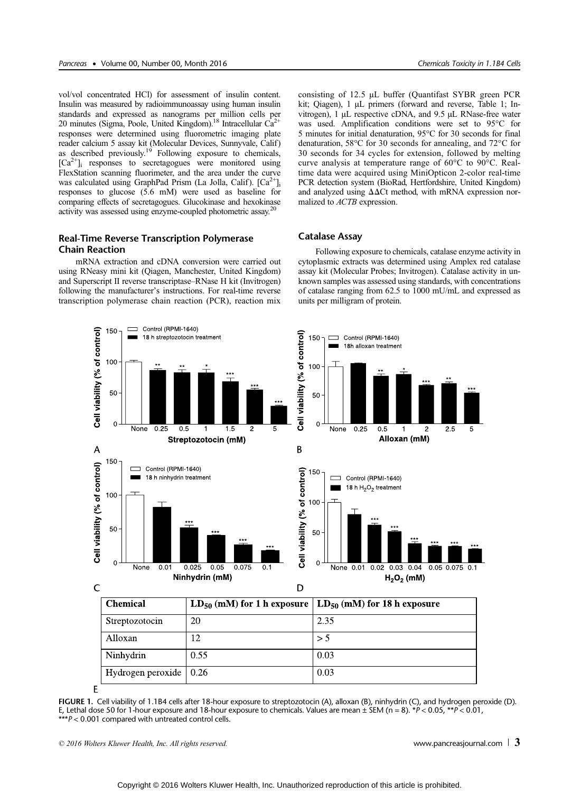vol/vol concentrated HCl) for assessment of insulin content. Insulin was measured by radioimmunoassay using human insulin standards and expressed as nanograms per million cells per 20 minutes (Sigma, Poole, United Kingdom).<sup>18</sup> Intracellular  $Ca^{2+}$ responses were determined using fluorometric imaging plate reader calcium 5 assay kit (Molecular Devices, Sunnyvale, Calif) as described previously.<sup>19</sup> Following exposure to chemicals,  $[Ca<sup>2+</sup>]$ <sub>i</sub> responses to secretagogues were monitored using FlexStation scanning fluorimeter, and the area under the curve was calculated using GraphPad Prism (La Jolla, Calif).  $[Ca^{2+}]_i$ responses to glucose (5.6 mM) were used as baseline for comparing effects of secretagogues. Glucokinase and hexokinase activity was assessed using enzyme-coupled photometric assay.<sup>2</sup>

# Real-Time Reverse Transcription Polymerase Chain Reaction

mRNA extraction and cDNA conversion were carried out using RNeasy mini kit (Qiagen, Manchester, United Kingdom) and Superscript II reverse transcriptase–RNase H kit (Invitrogen) following the manufacturer's instructions. For real-time reverse transcription polymerase chain reaction (PCR), reaction mix consisting of 12.5 μL buffer (Quantifast SYBR green PCR kit; Qiagen), 1 μL primers (forward and reverse, Table 1; Invitrogen), 1 μL respective cDNA, and 9.5 μL RNase-free water was used. Amplification conditions were set to 95°C for 5 minutes for initial denaturation, 95°C for 30 seconds for final denaturation, 58°C for 30 seconds for annealing, and 72°C for 30 seconds for 34 cycles for extension, followed by melting curve analysis at temperature range of 60°C to 90°C. Realtime data were acquired using MiniOpticon 2-color real-time PCR detection system (BioRad, Hertfordshire, United Kingdom) and analyzed using ΔΔCt method, with mRNA expression normalized to ACTB expression.

#### Catalase Assay

Following exposure to chemicals, catalase enzyme activity in cytoplasmic extracts was determined using Amplex red catalase assay kit (Molecular Probes; Invitrogen). Catalase activity in unknown samples was assessed using standards, with concentrations of catalase ranging from 62.5 to 1000 mU/mL and expressed as units per milligram of protein.



FIGURE 1. Cell viability of 1.1B4 cells after 18-hour exposure to streptozotocin (A), alloxan (B), ninhydrin (C), and hydrogen peroxide (D). E, Lethal dose 50 for 1-hour exposure and 18-hour exposure to chemicals. Values are mean  $\pm$  SEM (n = 8). \*P < 0.05, \*\*P < 0.01, \*\*\* $P < 0.001$  compared with untreated control cells.

<sup>© 2016</sup> Wolters Kluwer Health, Inc. All rights reserved. [www.pancreasjournal.com](http://www.pancreasjournal.com) 3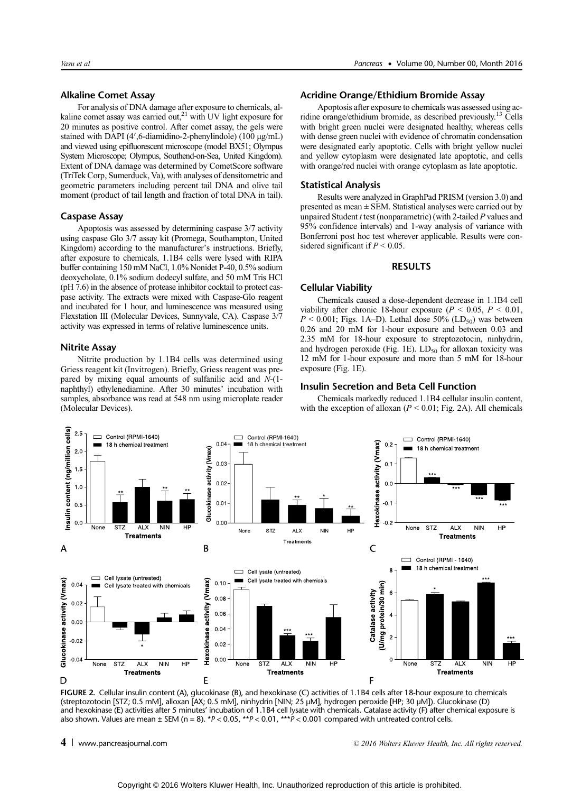# Alkaline Comet Assay

For analysis of DNA damage after exposure to chemicals, alkaline comet assay was carried out,<sup>21</sup> with UV light exposure for 20 minutes as positive control. After comet assay, the gels were stained with DAPI (4′,6-diamidino-2-phenylindole) (100 μg/mL) and viewed using epifluorescent microscope (model BX51; Olympus System Microscope; Olympus, Southend-on-Sea, United Kingdom). Extent of DNA damage was determined by CometScore software (TriTek Corp, Sumerduck, Va), with analyses of densitometric and geometric parameters including percent tail DNA and olive tail moment (product of tail length and fraction of total DNA in tail).

## Caspase Assay

Apoptosis was assessed by determining caspase 3/7 activity using caspase Glo 3/7 assay kit (Promega, Southampton, United Kingdom) according to the manufacturer's instructions. Briefly, after exposure to chemicals, 1.1B4 cells were lysed with RIPA buffer containing 150 mM NaCl, 1.0% Nonidet P-40, 0.5% sodium deoxycholate, 0.1% sodium dodecyl sulfate, and 50 mM Tris HCl (pH 7.6) in the absence of protease inhibitor cocktail to protect caspase activity. The extracts were mixed with Caspase-Glo reagent and incubated for 1 hour, and luminescence was measured using Flexstation III (Molecular Devices, Sunnyvale, CA). Caspase 3/7 activity was expressed in terms of relative luminescence units.

# Nitrite Assay

Nitrite production by 1.1B4 cells was determined using Griess reagent kit (Invitrogen). Briefly, Griess reagent was prepared by mixing equal amounts of sulfanilic acid and N-(1 naphthyl) ethylenediamine. After 30 minutes' incubation with samples, absorbance was read at 548 nm using microplate reader (Molecular Devices).

#### Acridine Orange/Ethidium Bromide Assay

Apoptosis after exposure to chemicals was assessed using acridine orange/ethidium bromide, as described previously.13 Cells with bright green nuclei were designated healthy, whereas cells with dense green nuclei with evidence of chromatin condensation were designated early apoptotic. Cells with bright yellow nuclei and yellow cytoplasm were designated late apoptotic, and cells with orange/red nuclei with orange cytoplasm as late apoptotic.

# Statistical Analysis

Results were analyzed in GraphPad PRISM (version 3.0) and presented as mean ± SEM. Statistical analyses were carried out by unpaired Student  $t$  test (nonparametric) (with 2-tailed  $P$  values and 95% confidence intervals) and 1-way analysis of variance with Bonferroni post hoc test wherever applicable. Results were considered significant if  $P < 0.05$ .

#### RESULTS

#### Cellular Viability

Chemicals caused a dose-dependent decrease in 1.1B4 cell viability after chronic 18-hour exposure ( $P < 0.05$ ,  $P < 0.01$ ,  $P < 0.001$ ; Figs. 1A–D). Lethal dose 50% (LD<sub>50</sub>) was between 0.26 and 20 mM for 1-hour exposure and between 0.03 and 2.35 mM for 18-hour exposure to streptozotocin, ninhydrin, and hydrogen peroxide (Fig. 1E).  $LD_{50}$  for alloxan toxicity was 12 mM for 1-hour exposure and more than 5 mM for 18-hour exposure (Fig. 1E).

## Insulin Secretion and Beta Cell Function

Chemicals markedly reduced 1.1B4 cellular insulin content, with the exception of alloxan ( $P < 0.01$ ; Fig. 2A). All chemicals



FIGURE 2. Cellular insulin content (A), glucokinase (B), and hexokinase (C) activities of 1.1B4 cells after 18-hour exposure to chemicals (streptozotocin [STZ; 0.5 mM], alloxan [AX; 0.5 mM], ninhydrin [NIN; 25 μM], hydrogen peroxide [HP; 30 μM]). Glucokinase (D) and hexokinase (E) activities after 5 minutes' incubation of 1.1B4 cell lysate with chemicals. Catalase activity (F) after chemical exposure is also shown. Values are mean  $\pm$  SEM (n = 8). \*P < 0.05, \*\*P < 0.01, \*\*\*P < 0.001 compared with untreated control cells.

<sup>4</sup> [www.pancreasjournal.com](http://www.pancreasjournal.com) © 2016 Wolters Kluwer Health, Inc. All rights reserved.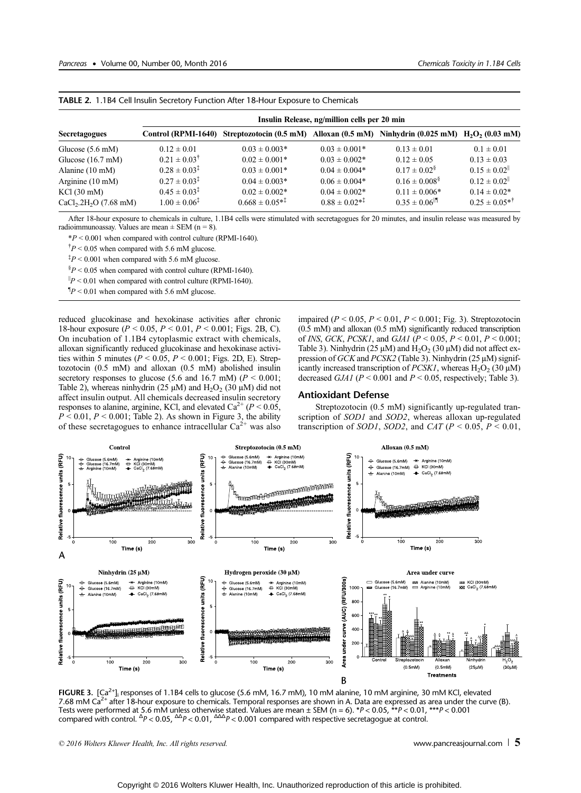|                                      | Insulin Release, ng/million cells per 20 min |                                                                                  |                      |                                |                               |  |  |  |
|--------------------------------------|----------------------------------------------|----------------------------------------------------------------------------------|----------------------|--------------------------------|-------------------------------|--|--|--|
| <b>Secretagogues</b>                 | Control (RPMI-1640)                          | Streptozotocin (0.5 mM) Alloxan (0.5 mM) Ninhydrin (0.025 mM) $H_2O_2$ (0.03 mM) |                      |                                |                               |  |  |  |
| Glucose $(5.6 \text{ mM})$           | $0.12 \pm 0.01$                              | $0.03 \pm 0.003*$                                                                | $0.03 \pm 0.001*$    | $0.13 \pm 0.01$                | $0.1 \pm 0.01$                |  |  |  |
| Glucose $(16.7 \text{ mM})$          | $0.21 \pm 0.03^{\dagger}$                    | $0.02 \pm 0.001*$                                                                | $0.03 \pm 0.002*$    | $0.12 \pm 0.05$                | $0.13 \pm 0.03$               |  |  |  |
| Alanine $(10 \text{ mM})$            | $0.28 \pm 0.03^{\ddagger}$                   | $0.03 \pm 0.001*$                                                                | $0.04 \pm 0.004*$    | $0.17 \pm 0.02^8$              | $0.15 \pm 0.02$ <sup>  </sup> |  |  |  |
| Arginine $(10 \text{ mM})$           | $0.27 \pm 0.03^{\ddagger}$                   | $0.04 \pm 0.003*$                                                                | $0.06 \pm 0.004*$    | $0.16 \pm 0.008$ <sup>§</sup>  | $0.12 \pm 0.02$ <sup>  </sup> |  |  |  |
| $KCl$ (30 mM)                        | $0.45 \pm 0.03^{\ddagger}$                   | $0.02 \pm 0.002*$                                                                | $0.04 \pm 0.002*$    | $0.11 \pm 0.006*$              | $0.14 \pm 0.02*$              |  |  |  |
| $CaCl2$ .2H <sub>2</sub> O (7.68 mM) | $1.00 \pm 0.06^{\ddagger}$                   | $0.668 \pm 0.05^{*1}$                                                            | $0.88 \pm 0.02^{*1}$ | $0.35 \pm 0.06$ <sup>[1]</sup> | $0.25 \pm 0.05^{*7}$          |  |  |  |

TABLE 2. 1.1B4 Cell Insulin Secretory Function After 18-Hour Exposure to Chemicals

After 18-hour exposure to chemicals in culture, 1.1B4 cells were stimulated with secretagogues for 20 minutes, and insulin release was measured by radioimmunoassay. Values are mean  $\pm$  SEM (n = 8).

 $*P < 0.001$  when compared with control culture (RPMI-1640).

 $\frac{1}{2}P$  < 0.05 when compared with 5.6 mM glucose.

 $\frac{1}{4}P < 0.001$  when compared with 5.6 mM glucose.

 $\frac{8}{9}P < 0.05$  when compared with control culture (RPMI-1640).

 $|P| > 0.01$  when compared with control culture (RPMI-1640).

 $\mathbb{I}_P$  < 0.01 when compared with 5.6 mM glucose.

reduced glucokinase and hexokinase activities after chronic 18-hour exposure ( $P < 0.05$ ,  $P < 0.01$ ,  $P < 0.001$ ; Figs. 2B, C). On incubation of 1.1B4 cytoplasmic extract with chemicals, alloxan significantly reduced glucokinase and hexokinase activities within 5 minutes ( $P < 0.05$ ,  $P < 0.001$ ; Figs. 2D, E). Streptozotocin (0.5 mM) and alloxan (0.5 mM) abolished insulin secretory responses to glucose (5.6 and 16.7 mM) ( $P < 0.001$ ; Table 2), whereas ninhydrin (25  $\mu$ M) and H<sub>2</sub>O<sub>2</sub> (30  $\mu$ M) did not affect insulin output. All chemicals decreased insulin secretory responses to alanine, arginine, KCl, and elevated  $Ca^{2+} (P \le 0.05,$  $P < 0.01$ ,  $P < 0.001$ ; Table 2). As shown in Figure 3, the ability of these secretagogues to enhance intracellular  $Ca^{2+}$  was also impaired ( $P < 0.05$ ,  $P < 0.01$ ,  $P < 0.001$ ; Fig. 3). Streptozotocin (0.5 mM) and alloxan (0.5 mM) significantly reduced transcription of INS, GCK, PCSK1, and GJA1 ( $P < 0.05$ ,  $P < 0.01$ ,  $P < 0.001$ ; Table 3). Ninhydrin (25  $\mu$ M) and H<sub>2</sub>O<sub>2</sub> (30  $\mu$ M) did not affect expression of GCK and PCSK2 (Table 3). Ninhydrin (25 μM) significantly increased transcription of *PCSK1*, whereas  $H_2O_2$  (30  $\mu$ M) decreased *GJA1* ( $P < 0.001$  and  $P < 0.05$ , respectively; Table 3).

#### Antioxidant Defense

Streptozotocin (0.5 mM) significantly up-regulated transcription of SOD1 and SOD2, whereas alloxan up-regulated transcription of SOD1, SOD2, and CAT ( $P < 0.05$ ,  $P < 0.01$ ,



FIGURE 3.  $[Ca<sup>2+</sup>]$  responses of 1.1B4 cells to glucose (5.6 mM, 16.7 mM), 10 mM alanine, 10 mM arginine, 30 mM KCl, elevated 7.68 mM C $a^{2+}$  after 18-hour exposure to chemicals. Temporal responses are shown in A. Data are expressed as area under the curve (B). Tests were performed at 5.6 mM unless otherwise stated. Values are mean ± SEM (n = 6). \*P < 0.05, \*\*P < 0.01, \*\*\*P < 0.001<br>compared with control. <sup>Δ</sup>P < 0.05, <sup>ΔΔ</sup>P < 0.01, <sup>ΔΔΔ</sup>P < 0.001 compared with respective secretago

<sup>© 2016</sup> Wolters Kluwer Health, Inc. All rights reserved.  $\Box$  states the served of the served of  $\Box$  served of  $\Box$   $\Box$  states the served of  $\Box$  served of  $\Box$  states the served of  $\Box$  served of  $\Box$  served of  $\Box$  sta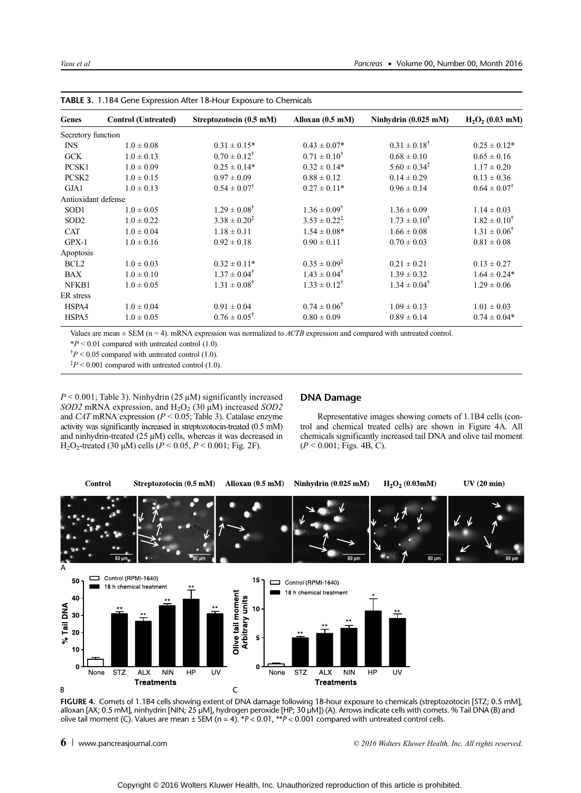| Genes               | <b>Control</b> (Untreated) | Streptozotocin (0.5 mM)    | Alloxan $(0.5 \text{ mM})$ | Ninhydrin $(0.025 \text{ mM})$ | $H_2O_2(0.03$ mM)         |
|---------------------|----------------------------|----------------------------|----------------------------|--------------------------------|---------------------------|
| Secretory function  |                            |                            |                            |                                |                           |
| <b>INS</b>          | $1.0 \pm 0.08$             | $0.31 \pm 0.15*$           | $0.43 \pm 0.07*$           | $0.31 \pm 0.18^{\dagger}$      | $0.25 \pm 0.12*$          |
| <b>GCK</b>          | $1.0 \pm 0.13$             | $0.70 \pm 0.12^{\dagger}$  | $0.71 \pm 0.10^{\dagger}$  | $0.68 \pm 0.10$                | $0.65 \pm 0.16$           |
| PCSK1               | $1.0 \pm 0.09$             | $0.25 \pm 0.14*$           | $0.32 \pm 0.14*$           | $5.60 \pm 0.34^{\ddagger}$     | $1.17 \pm 0.20$           |
| PCSK2               | $1.0 \pm 0.15$             | $0.97 \pm 0.09$            | $0.88 \pm 0.12$            | $0.14 \pm 0.29$                | $0.13 \pm 0.36$           |
| GJA1                | $1.0 \pm 0.13$             | $0.54 \pm 0.07^{\dagger}$  | $0.27 \pm 0.11*$           | $0.96 \pm 0.14$                | $0.64 \pm 0.07^{\dagger}$ |
| Antioxidant defense |                            |                            |                            |                                |                           |
| SOD <sub>1</sub>    | $1.0 \pm 0.05$             | $1.29 \pm 0.08^{\dagger}$  | $1.36 \pm 0.09^{\dagger}$  | $1.36 \pm 0.09$                | $1.14 \pm 0.03$           |
| SOD <sub>2</sub>    | $1.0 \pm 0.22$             | $3.38 \pm 0.20^{\ddagger}$ | $3.53 \pm 0.22^{\ddagger}$ | $1.73 \pm 0.10^{\dagger}$      | $1.82 \pm 0.10^{\dagger}$ |
| <b>CAT</b>          | $1.0 \pm 0.04$             | $1.18 \pm 0.11$            | $1.54 \pm 0.08*$           | $1.66 \pm 0.08$                | $1.31 \pm 0.06^{\dagger}$ |
| $GPX-1$             | $1.0 \pm 0.16$             | $0.92 \pm 0.18$            | $0.90 \pm 0.11$            | $0.70 \pm 0.03$                | $0.81 \pm 0.08$           |
| Apoptosis           |                            |                            |                            |                                |                           |
| BCL <sub>2</sub>    | $1.0 \pm 0.03$             | $0.32 \pm 0.11*$           | $0.35 \pm 0.09^{\ddagger}$ | $0.21 \pm 0.21$                | $0.13 \pm 0.27$           |
| BAX                 | $1.0 \pm 0.10$             | $1.37 \pm 0.04^{\dagger}$  | $1.43 \pm 0.04^{\dagger}$  | $1.39 \pm 0.32$                | $1.64 \pm 0.24*$          |
| NFKB1               | $1.0 \pm 0.05$             | $1.31 \pm 0.08^{\dagger}$  | $1.33 \pm 0.12^{\dagger}$  | $1.34 \pm 0.04^{\dagger}$      | $1.29 \pm 0.06$           |
| ER stress           |                            |                            |                            |                                |                           |
| HSPA4               | $1.0 \pm 0.04$             | $0.91 \pm 0.04$            | $0.74 \pm 0.06^{\dagger}$  | $1.09 \pm 0.13$                | $1.01 \pm 0.03$           |
| HSPA5               | $1.0 \pm 0.05$             | $0.76 \pm 0.05^{\dagger}$  | $0.80 \pm 0.09$            | $0.89 \pm 0.14$                | $0.74 \pm 0.04*$          |

TABLE 3. 1.1B4 Gene Expression After 18-Hour Exposure to Chemicals

Values are mean  $\pm$  SEM (n = 4). mRNA expression was normalized to *ACTB* expression and compared with untreated control.

 $*P < 0.01$  compared with untreated control (1.0).

 $\frac{1}{2}P$  < 0.05 compared with untreated control (1.0).

 $\frac{1}{4}P < 0.001$  compared with untreated control (1.0).

 $P < 0.001$ ; Table 3). Ninhydrin (25  $\mu$ M) significantly increased SOD2 mRNA expression, and  $H_2O_2$  (30  $\mu$ M) increased SOD2 and CAT mRNA expression ( $P < 0.05$ ; Table 3). Catalase enzyme activity was significantly increased in streptozotocin-treated (0.5 mM) and ninhydrin-treated (25 μM) cells, whereas it was decreased in H<sub>2</sub>O<sub>2</sub>-treated (30 μM) cells ( $P < 0.05, P < 0.001$ ; Fig. 2F).

# DNA Damage

Representative images showing comets of 1.1B4 cells (control and chemical treated cells) are shown in Figure 4A. All chemicals significantly increased tail DNA and olive tail moment  $(P < 0.001$ ; Figs. 4B, C).



FIGURE 4. Comets of 1.1B4 cells showing extent of DNA damage following 18-hour exposure to chemicals (streptozotocin [STZ; 0.5 mM], alloxan [AX; 0.5 mM], ninhydrin [NIN; 25 μM], hydrogen peroxide [HP; 30 μM]) (A). Arrows indicate cells with comets. % Tail DNA (B) and olive tail moment (C). Values are mean  $\pm$  SEM (n = 4). \*P < 0.01, \*\*P < 0.001 compared with untreated control cells.

<sup>6</sup> [www.pancreasjournal.com](http://www.pancreasjournal.com)  $\overline{6}$  www.pancreasjournal.com  $\overline{6}$  and  $\overline{2}$  and  $\overline{2}$  and  $\overline{2}$  and  $\overline{2}$  and  $\overline{2}$  and  $\overline{2}$  and  $\overline{2}$  and  $\overline{2}$  and  $\overline{2}$  and  $\overline{2}$  and  $\overline{2}$  and  $\overline{2$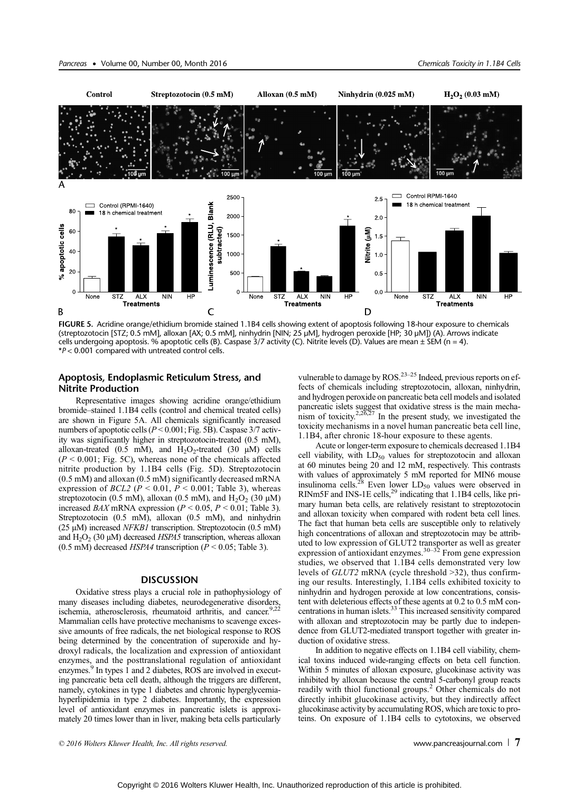

FIGURE 5. Acridine orange/ethidium bromide stained 1.1B4 cells showing extent of apoptosis following 18-hour exposure to chemicals (streptozotocin [STZ; 0.5 mM], alloxan [AX; 0.5 mM], ninhydrin [NIN; 25 μM], hydrogen peroxide [HP; 30 μM]) (A). Arrows indicate cells undergoing apoptosis. % apoptotic cells (B). Caspase  $3/7$  activity (C). Nitrite levels (D). Values are mean  $\pm$  SEM (n = 4). \*P < 0.001 compared with untreated control cells.

# Apoptosis, Endoplasmic Reticulum Stress, and Nitrite Production

Representative images showing acridine orange/ethidium bromide–stained 1.1B4 cells (control and chemical treated cells) are shown in Figure 5A. All chemicals significantly increased numbers of apoptotic cells ( $P < 0.001$ ; Fig. 5B). Caspase 3/7 activity was significantly higher in streptozotocin-treated (0.5 mM), alloxan-treated (0.5 mM), and  $H_2O_2$ -treated (30  $\mu$ M) cells  $(P < 0.001$ ; Fig. 5C), whereas none of the chemicals affected nitrite production by 1.1B4 cells (Fig. 5D). Streptozotocin (0.5 mM) and alloxan (0.5 mM) significantly decreased mRNA expression of  $BCL2$  ( $P < 0.01$ ,  $P < 0.001$ ; Table 3), whereas streptozotocin (0.5 mM), alloxan (0.5 mM), and  $H_2O_2$  (30  $\mu$ M) increased  $BAX$  mRNA expression ( $P < 0.05$ ,  $P < 0.01$ ; Table 3). Streptozotocin (0.5 mM), alloxan (0.5 mM), and ninhydrin (25  $\mu$ M) increased *NFKB1* transcription. Streptozotocin (0.5 mM) and  $H_2O_2$  (30  $\mu$ M) decreased *HSPA5* transcription, whereas alloxan (0.5 mM) decreased *HSPA4* transcription ( $P < 0.05$ ; Table 3).

## **DISCUSSION**

Oxidative stress plays a crucial role in pathophysiology of many diseases including diabetes, neurodegenerative disorders, ischemia, atherosclerosis, rheumatoid arthritis, and cancer.<sup>9,22</sup> Mammalian cells have protective mechanisms to scavenge excessive amounts of free radicals, the net biological response to ROS being determined by the concentration of superoxide and hydroxyl radicals, the localization and expression of antioxidant enzymes, and the posttranslational regulation of antioxidant enzymes.<sup>9</sup> In types 1 and 2 diabetes, ROS are involved in executing pancreatic beta cell death, although the triggers are different, namely, cytokines in type 1 diabetes and chronic hyperglycemiahyperlipidemia in type 2 diabetes. Importantly, the expression level of antioxidant enzymes in pancreatic islets is approximately 20 times lower than in liver, making beta cells particularly

vulnerable to damage by  $ROS<sup>23-25</sup>$  Indeed, previous reports on effects of chemicals including streptozotocin, alloxan, ninhydrin, and hydrogen peroxide on pancreatic beta cell models and isolated pancreatic islets suggest that oxidative stress is the main mecha-<br>nism of toxicity.<sup>2,26,27</sup> In the present study, we investigated the toxicity mechanisms in a novel human pancreatic beta cell line, 1.1B4, after chronic 18-hour exposure to these agents.

Acute or longer-term exposure to chemicals decreased 1.1B4 cell viability, with  $LD_{50}$  values for streptozotocin and alloxan at 60 minutes being 20 and 12 mM, respectively. This contrasts with values of approximately 5 mM reported for MIN6 mouse insulinoma cells.<sup>28</sup> Even lower  $LD_{50}$  values were observed in RINm5F and INS-1E cells, $^{29}$  indicating that 1.1B4 cells, like primary human beta cells, are relatively resistant to streptozotocin and alloxan toxicity when compared with rodent beta cell lines. The fact that human beta cells are susceptible only to relatively high concentrations of alloxan and streptozotocin may be attributed to low expression of GLUT2 transporter as well as greater expression of antioxidant enzymes.<sup>30–32</sup> From gene expression studies, we observed that 1.1B4 cells demonstrated very low levels of GLUT2 mRNA (cycle threshold >32), thus confirming our results. Interestingly, 1.1B4 cells exhibited toxicity to ninhydrin and hydrogen peroxide at low concentrations, consistent with deleterious effects of these agents at 0.2 to 0.5 mM concentrations in human islets.33 This increased sensitivity compared with alloxan and streptozotocin may be partly due to independence from GLUT2-mediated transport together with greater induction of oxidative stress.

In addition to negative effects on 1.1B4 cell viability, chemical toxins induced wide-ranging effects on beta cell function. Within 5 minutes of alloxan exposure, glucokinase activity was inhibited by alloxan because the central 5-carbonyl group reacts readily with thiol functional groups.<sup>2</sup> Other chemicals do not directly inhibit glucokinase activity, but they indirectly affect glucokinase activity by accumulating ROS, which are toxic to proteins. On exposure of 1.1B4 cells to cytotoxins, we observed

© 2016 Wolters Kluwer Health, Inc. All rights reserved.  $\Box$  and  $\Box$  and  $\Box$  [www.pancreasjournal.com](http://www.pancreasjournal.com)  $\Box$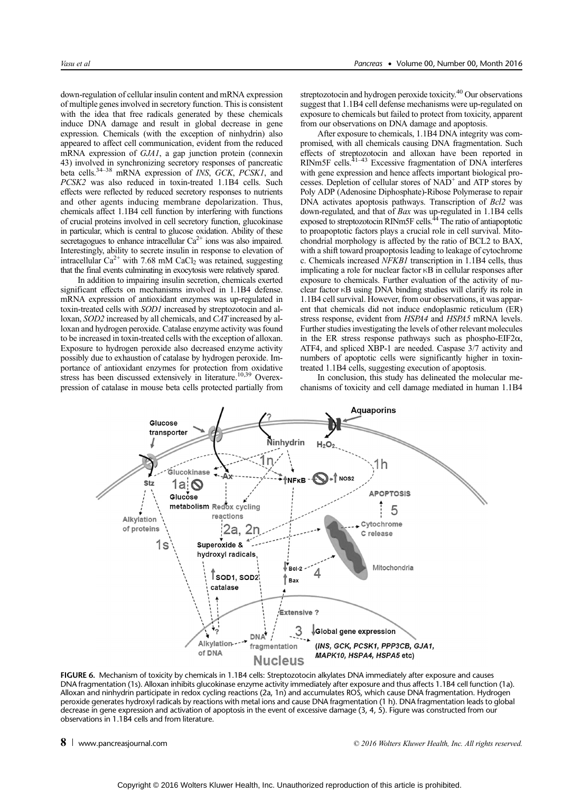down-regulation of cellular insulin content and mRNA expression of multiple genes involved in secretory function. This is consistent with the idea that free radicals generated by these chemicals induce DNA damage and result in global decrease in gene expression. Chemicals (with the exception of ninhydrin) also appeared to affect cell communication, evident from the reduced mRNA expression of GJA1, a gap junction protein (connexin 43) involved in synchronizing secretory responses of pancreatic beta cells. $34-38$  mRNA expression of *INS*, *GCK, PCSK1*, and PCSK2 was also reduced in toxin-treated 1.1B4 cells. Such effects were reflected by reduced secretory responses to nutrients and other agents inducing membrane depolarization. Thus, chemicals affect 1.1B4 cell function by interfering with functions of crucial proteins involved in cell secretory function, glucokinase in particular, which is central to glucose oxidation. Ability of these secretagogues to enhance intracellular  $Ca^{2+}$  ions was also impaired. Interestingly, ability to secrete insulin in response to elevation of intracellular  $Ca^{2+}$  with 7.68 mM CaCl<sub>2</sub> was retained, suggesting that the final events culminating in exocytosis were relatively spared.

In addition to impairing insulin secretion, chemicals exerted significant effects on mechanisms involved in 1.1B4 defense. mRNA expression of antioxidant enzymes was up-regulated in toxin-treated cells with SOD1 increased by streptozotocin and alloxan, SOD2 increased by all chemicals, and CAT increased by alloxan and hydrogen peroxide. Catalase enzyme activity was found to be increased in toxin-treated cells with the exception of alloxan. Exposure to hydrogen peroxide also decreased enzyme activity possibly due to exhaustion of catalase by hydrogen peroxide. Importance of antioxidant enzymes for protection from oxidative stress has been discussed extensively in literature.<sup>10,39</sup> Overexpression of catalase in mouse beta cells protected partially from streptozotocin and hydrogen peroxide toxicity.<sup>40</sup> Our observations suggest that 1.1B4 cell defense mechanisms were up-regulated on exposure to chemicals but failed to protect from toxicity, apparent from our observations on DNA damage and apoptosis.

After exposure to chemicals, 1.1B4 DNA integrity was compromised, with all chemicals causing DNA fragmentation. Such effects of streptozotocin and alloxan have been reported in RINm5F cells.<sup>41–43</sup> Excessive fragmentation of DNA interferes with gene expression and hence affects important biological processes. Depletion of cellular stores of  $NAD<sup>+</sup>$  and ATP stores by Poly ADP (Adenosine Diphosphate)-Ribose Polymerase to repair DNA activates apoptosis pathways. Transcription of Bcl2 was down-regulated, and that of *Bax* was up-regulated in 1.1B4 cells exposed to streptozotocin RINm5F cells.<sup>44</sup> The ratio of antiapoptotic to proapoptotic factors plays a crucial role in cell survival. Mitochondrial morphology is affected by the ratio of BCL2 to BAX, with a shift toward proapoptosis leading to leakage of cytochrome c. Chemicals increased NFKB1 transcription in 1.1B4 cells, thus implicating a role for nuclear factor κB in cellular responses after exposure to chemicals. Further evaluation of the activity of nuclear factor κB using DNA binding studies will clarify its role in 1.1B4 cell survival. However, from our observations, it was apparent that chemicals did not induce endoplasmic reticulum (ER) stress response, evident from HSPA4 and HSPA5 mRNA levels. Further studies investigating the levels of other relevant molecules in the ER stress response pathways such as phospho-EIF2 $\alpha$ , ATF4, and spliced XBP-1 are needed. Caspase 3/7 activity and numbers of apoptotic cells were significantly higher in toxintreated 1.1B4 cells, suggesting execution of apoptosis.

In conclusion, this study has delineated the molecular mechanisms of toxicity and cell damage mediated in human 1.1B4



FIGURE 6. Mechanism of toxicity by chemicals in 1.1B4 cells: Streptozotocin alkylates DNA immediately after exposure and causes DNA fragmentation (1s). Alloxan inhibits glucokinase enzyme activity immediately after exposure and thus affects 1.1B4 cell function (1a). Alloxan and ninhydrin participate in redox cycling reactions (2a, 1n) and accumulates ROS, which cause DNA fragmentation. Hydrogen peroxide generates hydroxyl radicals by reactions with metal ions and cause DNA fragmentation (1 h). DNA fragmentation leads to global decrease in gene expression and activation of apoptosis in the event of excessive damage (3, 4, 5). Figure was constructed from our observations in 1.1B4 cells and from literature.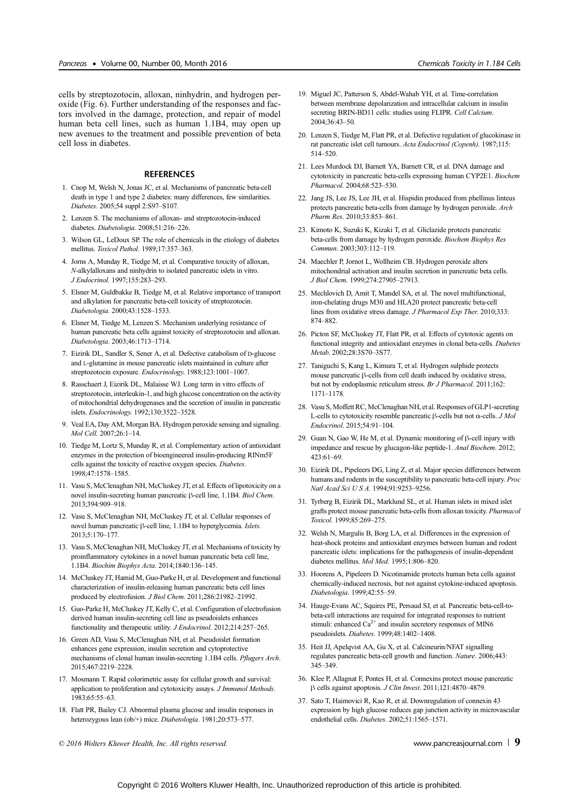cells by streptozotocin, alloxan, ninhydrin, and hydrogen peroxide (Fig. 6). Further understanding of the responses and factors involved in the damage, protection, and repair of model human beta cell lines, such as human 1.1B4, may open up new avenues to the treatment and possible prevention of beta cell loss in diabetes.

#### REFERENCES

- 1. Cnop M, Welsh N, Jonas JC, et al. Mechanisms of pancreatic beta-cell death in type 1 and type 2 diabetes: many differences, few similarities. Diabetes. 2005;54 suppl 2:S97–S107.
- 2. Lenzen S. The mechanisms of alloxan- and streptozotocin-induced diabetes. Diabetologia. 2008;51:216–226.
- 3. Wilson GL, LeDoux SP. The role of chemicals in the etiology of diabetes mellitus. Toxicol Pathol. 1989;17:357–363.
- 4. Jorns A, Munday R, Tiedge M, et al. Comparative toxicity of alloxan, N-alkylalloxans and ninhydrin to isolated pancreatic islets in vitro. J Endocrinol. 1997;155:283–293.
- 5. Elsner M, Guldbakke B, Tiedge M, et al. Relative importance of transport and alkylation for pancreatic beta-cell toxicity of streptozotocin. Diabetologia. 2000;43:1528–1533.
- 6. Elsner M, Tiedge M, Lenzen S. Mechanism underlying resistance of human pancreatic beta cells against toxicity of streptozotocin and alloxan. Diabetologia. 2003;46:1713–1714.
- 7. Eizirik DL, Sandler S, Sener A, et al. Defective catabolism of D-glucose and L-glutamine in mouse pancreatic islets maintained in culture after streptozotocin exposure. Endocrinology. 1988;123:1001–1007.
- 8. Rasschaert J, Eizirik DL, Malaisse WJ. Long term in vitro effects of streptozotocin, interleukin-1, and high glucose concentration on the activity of mitochondrial dehydrogenases and the secretion of insulin in pancreatic islets. Endocrinology. 1992;130:3522–3528.
- 9. Veal EA, Day AM, Morgan BA. Hydrogen peroxide sensing and signaling. Mol Cell. 2007;26:1–14.
- 10. Tiedge M, Lortz S, Munday R, et al. Complementary action of antioxidant enzymes in the protection of bioengineered insulin-producing RINm5F cells against the toxicity of reactive oxygen species. Diabetes. 1998;47:1578–1585.
- 11. Vasu S, McClenaghan NH, McCluskey JT, et al. Effects of lipotoxicity on a novel insulin-secreting human pancreatic β-cell line, 1.1B4. Biol Chem. 2013;394:909–918.
- 12. Vasu S, McClenaghan NH, McCluskey JT, et al. Cellular responses of novel human pancreatic β-cell line, 1.1B4 to hyperglycemia. Islets. 2013;5:170–177.
- 13. Vasu S, McClenaghan NH, McCluskey JT, et al. Mechanisms of toxicity by proinflammatory cytokines in a novel human pancreatic beta cell line, 1.1B4. Biochim Biophys Acta. 2014;1840:136–145.
- 14. McCluskey JT, Hamid M, Guo-Parke H, et al. Development and functional characterization of insulin-releasing human pancreatic beta cell lines produced by electrofusion. J Biol Chem. 2011;286:21982-21992.
- 15. Guo-Parke H, McCluskey JT, Kelly C, et al. Configuration of electrofusion derived human insulin-secreting cell line as pseudoislets enhances functionality and therapeutic utility. J Endocrinol. 2012;214:257–265.
- 16. Green AD, Vasu S, McClenaghan NH, et al. Pseudoislet formation enhances gene expression, insulin secretion and cytoprotective mechanisms of clonal human insulin-secreting 1.1B4 cells. Pflugers Arch. 2015;467:2219–2228.
- 17. Mosmann T. Rapid colorimetric assay for cellular growth and survival: application to proliferation and cytotoxicity assays. J Immunol Methods. 1983;65:55–63.
- 18. Flatt PR, Bailey CJ. Abnormal plasma glucose and insulin responses in heterozygous lean (ob/+) mice. Diabetologia. 1981;20:573–577.
- 19. Miguel JC, Patterson S, Abdel-Wahab YH, et al. Time-correlation between membrane depolarization and intracellular calcium in insulin secreting BRIN-BD11 cells: studies using FLIPR. Cell Calcium. 2004;36:43–50.
- 20. Lenzen S, Tiedge M, Flatt PR, et al. Defective regulation of glucokinase in rat pancreatic islet cell tumours. Acta Endocrinol (Copenh). 1987;115: 514–520.
- 21. Lees Murdock DJ, Barnett YA, Barnett CR, et al. DNA damage and cytotoxicity in pancreatic beta-cells expressing human CYP2E1. Biochem Pharmacol. 2004;68:523–530.
- 22. Jang JS, Lee JS, Lee JH, et al. Hispidin produced from phellinus linteus protects pancreatic beta-cells from damage by hydrogen peroxide. Arch Pharm Res. 2010;33:853–861.
- 23. Kimoto K, Suzuki K, Kizaki T, et al. Gliclazide protects pancreatic beta-cells from damage by hydrogen peroxide. Biochem Biophys Res Commun. 2003;303:112–119.
- 24. Maechler P, Jornot L, Wollheim CB. Hydrogen peroxide alters mitochondrial activation and insulin secretion in pancreatic beta cells. J Biol Chem. 1999;274:27905–27913.
- 25. Mechlovich D, Amit T, Mandel SA, et al. The novel multifunctional, iron-chelating drugs M30 and HLA20 protect pancreatic beta-cell lines from oxidative stress damage. J Pharmacol Exp Ther. 2010;333: 874–882.
- 26. Picton SF, McCluskey JT, Flatt PR, et al. Effects of cytotoxic agents on functional integrity and antioxidant enzymes in clonal beta-cells. Diabetes Metab. 2002;28:3S70–3S77.
- 27. Taniguchi S, Kang L, Kimura T, et al. Hydrogen sulphide protects mouse pancreatic β-cells from cell death induced by oxidative stress, but not by endoplasmic reticulum stress. Br J Pharmacol. 2011;162: 1171–1178.
- 28. Vasu S, Moffett RC, McClenaghan NH, et al. Responses of GLP1-secreting L-cells to cytotoxicity resemble pancreatic  $\beta$ -cells but not  $\alpha$ -cells. *J Mol* Endocrinol. 2015;54:91–104.
- 29. Guan N, Gao W, He M, et al. Dynamic monitoring of β-cell injury with impedance and rescue by glucagon-like peptide-1. Anal Biochem. 2012; 423:61–69.
- 30. Eizirik DL, Pipeleers DG, Ling Z, et al. Major species differences between humans and rodents in the susceptibility to pancreatic beta-cell injury. Proc Natl Acad Sci U S A. 1994;91:9253–9256.
- 31. Tyrberg B, Eizirik DL, Marklund SL, et al. Human islets in mixed islet grafts protect mouse pancreatic beta-cells from alloxan toxicity. Pharmacol Toxicol. 1999;85:269–275.
- 32. Welsh N, Margulis B, Borg LA, et al. Differences in the expression of heat-shock proteins and antioxidant enzymes between human and rodent pancreatic islets: implications for the pathogenesis of insulin-dependent diabetes mellitus. Mol Med. 1995;1:806–820.
- 33. Hoorens A, Pipeleers D. Nicotinamide protects human beta cells against chemically-induced necrosis, but not against cytokine-induced apoptosis. Diabetologia. 1999;42:55–59.
- 34. Hauge-Evans AC, Squires PE, Persaud SJ, et al. Pancreatic beta-cell-tobeta-cell interactions are required for integrated responses to nutrient stimuli: enhanced  $Ca^{2+}$  and insulin secretory responses of MIN6 pseudoislets. Diabetes. 1999;48:1402–1408.
- 35. Heit JJ, Apelqvist AA, Gu X, et al. Calcineurin/NFAT signalling regulates pancreatic beta-cell growth and function. Nature. 2006;443: 345–349.
- 36. Klee P, Allagnat F, Pontes H, et al. Connexins protect mouse pancreatic β cells against apoptosis. J Clin Invest. 2011;121:4870–4879.
- 37. Sato T, Haimovici R, Kao R, et al. Downregulation of connexin 43 expression by high glucose reduces gap junction activity in microvascular endothelial cells. Diabetes. 2002;51:1565–1571.

© 2016 Wolters Kluwer Health, Inc. All rights reserved. [www.pancreasjournal.com](http://www.pancreasjournal.com) | 9